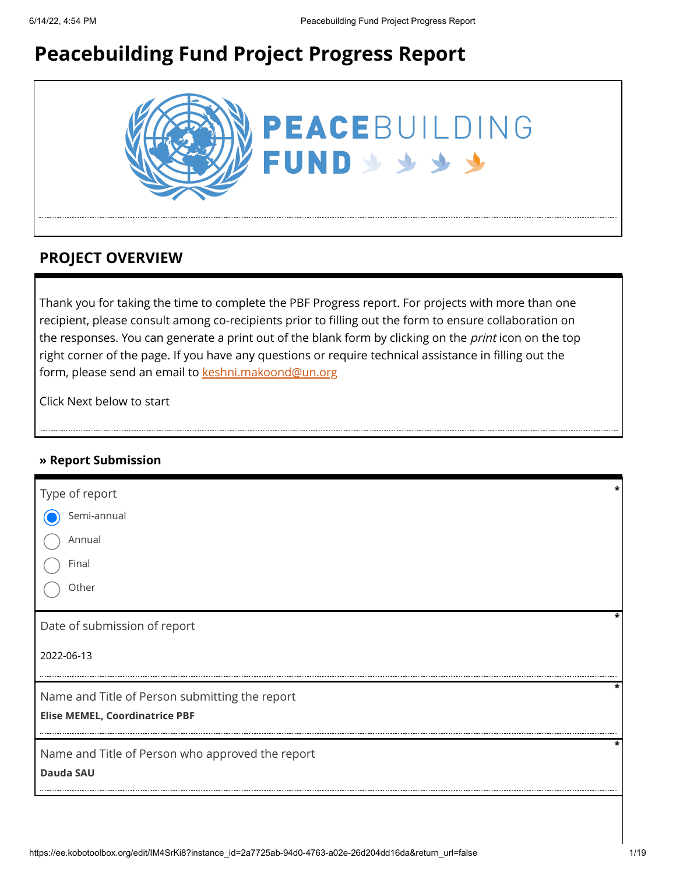# **Peacebuilding Fund Project Progress Report**



## **PROJECT OVERVIEW**

Thank you for taking the time to complete the PBF Progress report. For projects with more than one recipient, please consult among co-recipients prior to filling out the form to ensure collaboration on the responses. You can generate a print out of the blank form by clicking on the *print* icon on the top right corner of the page. If you have any questions or require technical assistance in filling out the form, please send an email to [keshni.makoond@un.org](https://ee.kobotoolbox.org/edit/keshni.makoond@un.org)

Click Next below to start

#### **» Report Submission**

| Type of report                                   |   |
|--------------------------------------------------|---|
| Semi-annual                                      |   |
| Annual                                           |   |
| Final                                            |   |
| Other                                            |   |
| Date of submission of report                     |   |
| 2022-06-13                                       |   |
| Name and Title of Person submitting the report   | * |
| <b>Elise MEMEL, Coordinatrice PBF</b>            |   |
| Name and Title of Person who approved the report |   |
| <b>Dauda SAU</b>                                 |   |
|                                                  |   |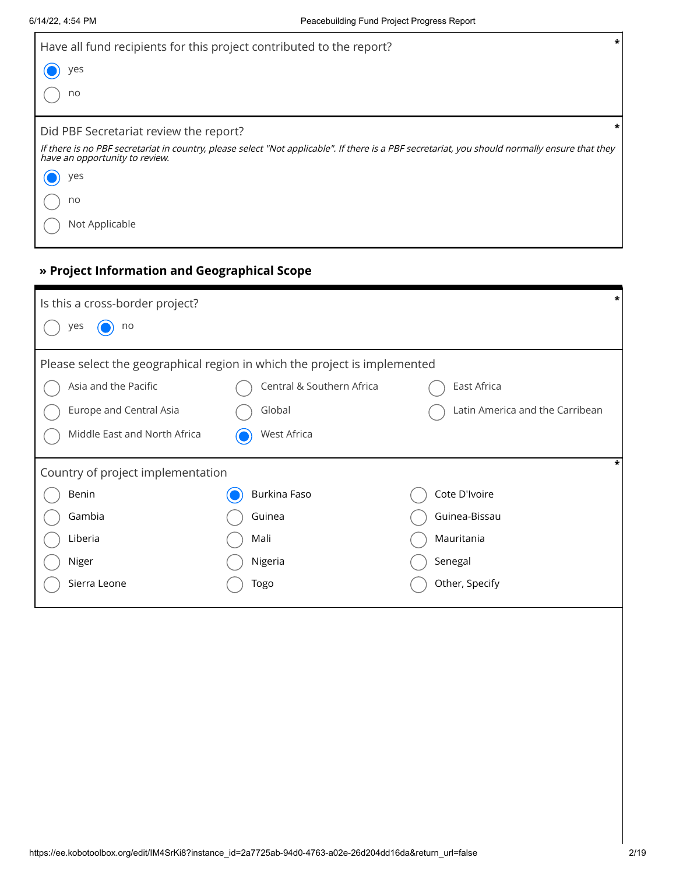| Have all fund recipients for this project contributed to the report?                                                                                                             | $\star$ |
|----------------------------------------------------------------------------------------------------------------------------------------------------------------------------------|---------|
| yes                                                                                                                                                                              |         |
| no                                                                                                                                                                               |         |
| Did PBF Secretariat review the report?                                                                                                                                           |         |
| If there is no PBF secretariat in country, please select "Not applicable". If there is a PBF secretariat, you should normally ensure that they<br>have an opportunity to review. |         |
| yes                                                                                                                                                                              |         |
| no                                                                                                                                                                               |         |
| Not Applicable                                                                                                                                                                   |         |

## **» Project Information and Geographical Scope**

| Is this a cross-border project?                                           |                           |                                 | * |
|---------------------------------------------------------------------------|---------------------------|---------------------------------|---|
| no<br>yes                                                                 |                           |                                 |   |
| Please select the geographical region in which the project is implemented |                           |                                 |   |
| Asia and the Pacific                                                      | Central & Southern Africa | East Africa                     |   |
| Europe and Central Asia                                                   | Global                    | Latin America and the Carribean |   |
| Middle East and North Africa                                              | West Africa               |                                 |   |
| Country of project implementation                                         |                           |                                 |   |
| Benin                                                                     | Burkina Faso              | Cote D'Ivoire                   |   |
| Gambia                                                                    | Guinea                    | Guinea-Bissau                   |   |
| Liberia                                                                   | Mali                      | Mauritania                      |   |
| Niger                                                                     | Nigeria                   | Senegal                         |   |
| Sierra Leone                                                              | Togo                      | Other, Specify                  |   |
|                                                                           |                           |                                 |   |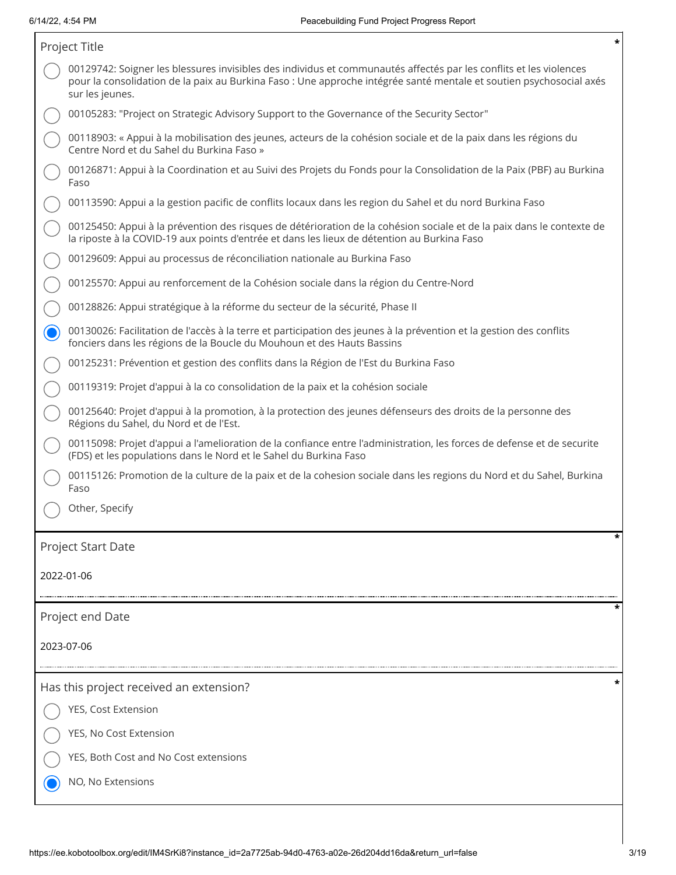| Project Title                                                                                                                                                                                                                                                | * |
|--------------------------------------------------------------------------------------------------------------------------------------------------------------------------------------------------------------------------------------------------------------|---|
| 00129742: Soigner les blessures invisibles des individus et communautés affectés par les conflits et les violences<br>pour la consolidation de la paix au Burkina Faso : Une approche intégrée santé mentale et soutien psychosocial axés<br>sur les jeunes. |   |
| 00105283: "Project on Strategic Advisory Support to the Governance of the Security Sector"                                                                                                                                                                   |   |
| 00118903: « Appui à la mobilisation des jeunes, acteurs de la cohésion sociale et de la paix dans les régions du<br>Centre Nord et du Sahel du Burkina Faso »                                                                                                |   |
| 00126871: Appui à la Coordination et au Suivi des Projets du Fonds pour la Consolidation de la Paix (PBF) au Burkina<br>Faso                                                                                                                                 |   |
| 00113590: Appui a la gestion pacific de conflits locaux dans les region du Sahel et du nord Burkina Faso                                                                                                                                                     |   |
| 00125450: Appui à la prévention des risques de détérioration de la cohésion sociale et de la paix dans le contexte de<br>la riposte à la COVID-19 aux points d'entrée et dans les lieux de détention au Burkina Faso                                         |   |
| 00129609: Appui au processus de réconciliation nationale au Burkina Faso                                                                                                                                                                                     |   |
| 00125570: Appui au renforcement de la Cohésion sociale dans la région du Centre-Nord                                                                                                                                                                         |   |
| 00128826: Appui stratégique à la réforme du secteur de la sécurité, Phase II                                                                                                                                                                                 |   |
| 00130026: Facilitation de l'accès à la terre et participation des jeunes à la prévention et la gestion des conflits<br>fonciers dans les régions de la Boucle du Mouhoun et des Hauts Bassins                                                                |   |
| 00125231: Prévention et gestion des conflits dans la Région de l'Est du Burkina Faso                                                                                                                                                                         |   |
| 00119319: Projet d'appui à la co consolidation de la paix et la cohésion sociale                                                                                                                                                                             |   |
| 00125640: Projet d'appui à la promotion, à la protection des jeunes défenseurs des droits de la personne des<br>Régions du Sahel, du Nord et de l'Est.                                                                                                       |   |
| 00115098: Projet d'appui a l'amelioration de la confiance entre l'administration, les forces de defense et de securite<br>(FDS) et les populations dans le Nord et le Sahel du Burkina Faso                                                                  |   |
| 00115126: Promotion de la culture de la paix et de la cohesion sociale dans les regions du Nord et du Sahel, Burkina<br>Faso                                                                                                                                 |   |
| Other, Specify                                                                                                                                                                                                                                               |   |
| <b>Project Start Date</b>                                                                                                                                                                                                                                    | * |
| 2022-01-06                                                                                                                                                                                                                                                   |   |
|                                                                                                                                                                                                                                                              |   |
| Project end Date                                                                                                                                                                                                                                             |   |
| 2023-07-06                                                                                                                                                                                                                                                   |   |
| Has this project received an extension?                                                                                                                                                                                                                      | * |
| YES, Cost Extension                                                                                                                                                                                                                                          |   |
| YES, No Cost Extension                                                                                                                                                                                                                                       |   |
| YES, Both Cost and No Cost extensions                                                                                                                                                                                                                        |   |
| NO, No Extensions                                                                                                                                                                                                                                            |   |
|                                                                                                                                                                                                                                                              |   |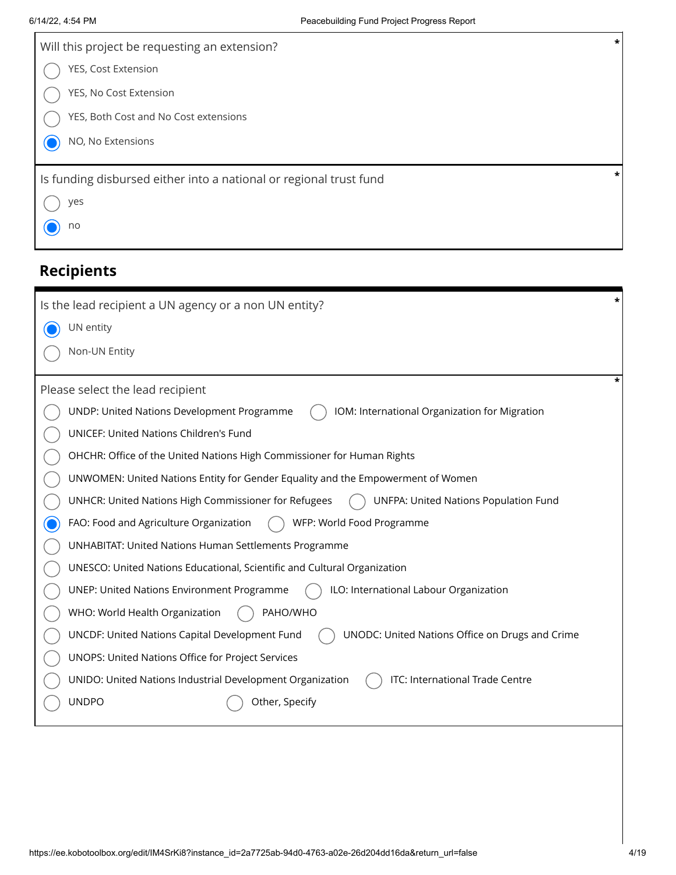| Will this project be requesting an extension?                      | $\ast$ |
|--------------------------------------------------------------------|--------|
| YES, Cost Extension                                                |        |
| YES, No Cost Extension                                             |        |
| YES, Both Cost and No Cost extensions                              |        |
| NO, No Extensions                                                  |        |
|                                                                    | *      |
| Is funding disbursed either into a national or regional trust fund |        |
| yes                                                                |        |
| no                                                                 |        |
|                                                                    |        |

# **Recipients**

| *<br>Is the lead recipient a UN agency or a non UN entity?                                        |
|---------------------------------------------------------------------------------------------------|
| UN entity                                                                                         |
| Non-UN Entity                                                                                     |
| Please select the lead recipient                                                                  |
| UNDP: United Nations Development Programme<br>IOM: International Organization for Migration       |
| UNICEF: United Nations Children's Fund                                                            |
| OHCHR: Office of the United Nations High Commissioner for Human Rights                            |
| UNWOMEN: United Nations Entity for Gender Equality and the Empowerment of Women                   |
| UNHCR: United Nations High Commissioner for Refugees<br>UNFPA: United Nations Population Fund     |
| FAO: Food and Agriculture Organization<br>WFP: World Food Programme                               |
| <b>UNHABITAT: United Nations Human Settlements Programme</b>                                      |
| UNESCO: United Nations Educational, Scientific and Cultural Organization                          |
| ILO: International Labour Organization<br><b>UNEP: United Nations Environment Programme</b>       |
| PAHO/WHO<br>WHO: World Health Organization                                                        |
| UNODC: United Nations Office on Drugs and Crime<br>UNCDF: United Nations Capital Development Fund |
| UNOPS: United Nations Office for Project Services                                                 |
| ITC: International Trade Centre<br>UNIDO: United Nations Industrial Development Organization      |
| <b>UNDPO</b><br>Other, Specify                                                                    |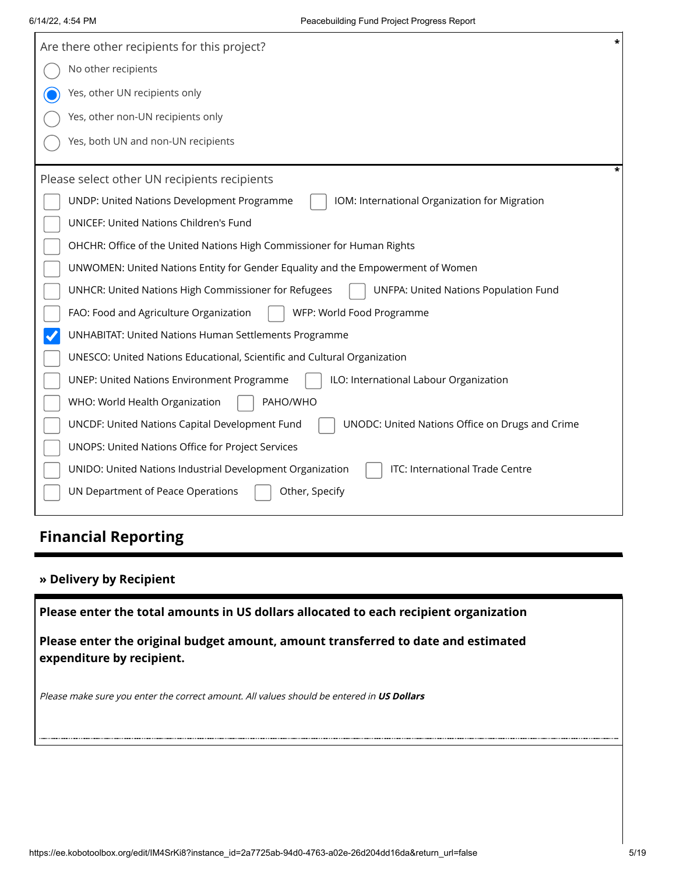| Are there other recipients for this project?                                                         | $\star$ |
|------------------------------------------------------------------------------------------------------|---------|
| No other recipients                                                                                  |         |
| Yes, other UN recipients only                                                                        |         |
| Yes, other non-UN recipients only                                                                    |         |
| Yes, both UN and non-UN recipients                                                                   |         |
| Please select other UN recipients recipients                                                         | ÷       |
| UNDP: United Nations Development Programme<br>IOM: International Organization for Migration          |         |
| <b>UNICEF: United Nations Children's Fund</b>                                                        |         |
| OHCHR: Office of the United Nations High Commissioner for Human Rights                               |         |
| UNWOMEN: United Nations Entity for Gender Equality and the Empowerment of Women                      |         |
| <b>UNFPA: United Nations Population Fund</b><br>UNHCR: United Nations High Commissioner for Refugees |         |
| FAO: Food and Agriculture Organization<br>WFP: World Food Programme                                  |         |
| <b>UNHABITAT: United Nations Human Settlements Programme</b>                                         |         |
| UNESCO: United Nations Educational, Scientific and Cultural Organization                             |         |
| ILO: International Labour Organization<br>UNEP: United Nations Environment Programme                 |         |
| PAHO/WHO<br>WHO: World Health Organization                                                           |         |
| UNCDF: United Nations Capital Development Fund<br>UNODC: United Nations Office on Drugs and Crime    |         |
| UNOPS: United Nations Office for Project Services                                                    |         |
| ITC: International Trade Centre<br>UNIDO: United Nations Industrial Development Organization         |         |
| UN Department of Peace Operations<br>Other, Specify                                                  |         |

# **Financial Reporting**

#### **» Delivery by Recipient**

**Please enter the total amounts in US dollars allocated to each recipient organization**

**Please enter the original budget amount, amount transferred to date and estimated expenditure by recipient.**

Please make sure you enter the correct amount. All values should be entered in **US Dollars**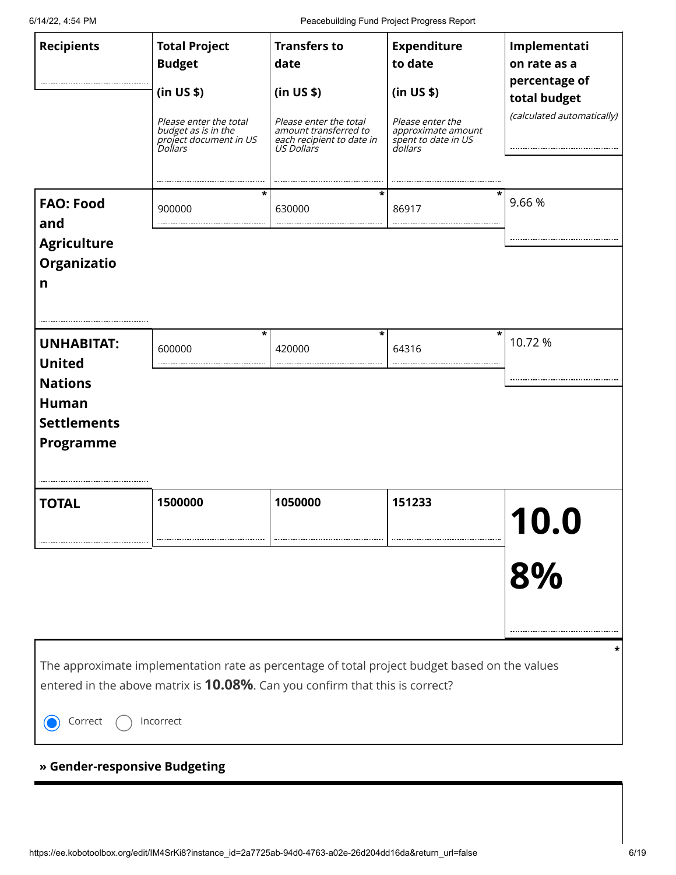| 6/14/22, 4:54 PM |  |
|------------------|--|
|                  |  |

Peacebuilding Fund Project Progress Report

| <b>Recipients</b><br><b>FAO: Food</b>                                                                          | <b>Total Project</b><br><b>Budget</b><br>(in US \$)<br>Please enter the total<br>budget as is in the<br>project document in US<br>Dollars<br>*<br>900000                                           | <b>Transfers to</b><br>date<br>(in US \$)<br>Please enter the total<br>amount transferred to<br>each recipient to date in<br>US Dollars<br>*<br>630000 | <b>Expenditure</b><br>to date<br>(in US \$)<br>Please enter the<br>approximate amount<br>spend to date in US<br>spent to date in US<br>86917 | Implementati<br>on rate as a<br>percentage of<br>total budget<br>(calculated automatically)<br>9.66% |
|----------------------------------------------------------------------------------------------------------------|----------------------------------------------------------------------------------------------------------------------------------------------------------------------------------------------------|--------------------------------------------------------------------------------------------------------------------------------------------------------|----------------------------------------------------------------------------------------------------------------------------------------------|------------------------------------------------------------------------------------------------------|
| and<br><b>Agriculture</b><br>Organizatio<br>n                                                                  |                                                                                                                                                                                                    |                                                                                                                                                        |                                                                                                                                              |                                                                                                      |
| <b>UNHABITAT:</b><br><b>United</b><br><b>Nations</b><br><b>Human</b><br><b>Settlements</b><br><b>Programme</b> | $\ast$<br>600000                                                                                                                                                                                   | *<br>420000                                                                                                                                            | *<br>64316                                                                                                                                   | 10.72 %                                                                                              |
| <b>TOTAL</b>                                                                                                   | 1500000                                                                                                                                                                                            | 1050000                                                                                                                                                | 151233                                                                                                                                       | I V.I<br>8%                                                                                          |
| Correct<br>» Gender-responsive Budgeting                                                                       | The approximate implementation rate as percentage of total project budget based on the values<br>entered in the above matrix is <b>10.08%</b> . Can you confirm that this is correct?<br>Incorrect |                                                                                                                                                        |                                                                                                                                              |                                                                                                      |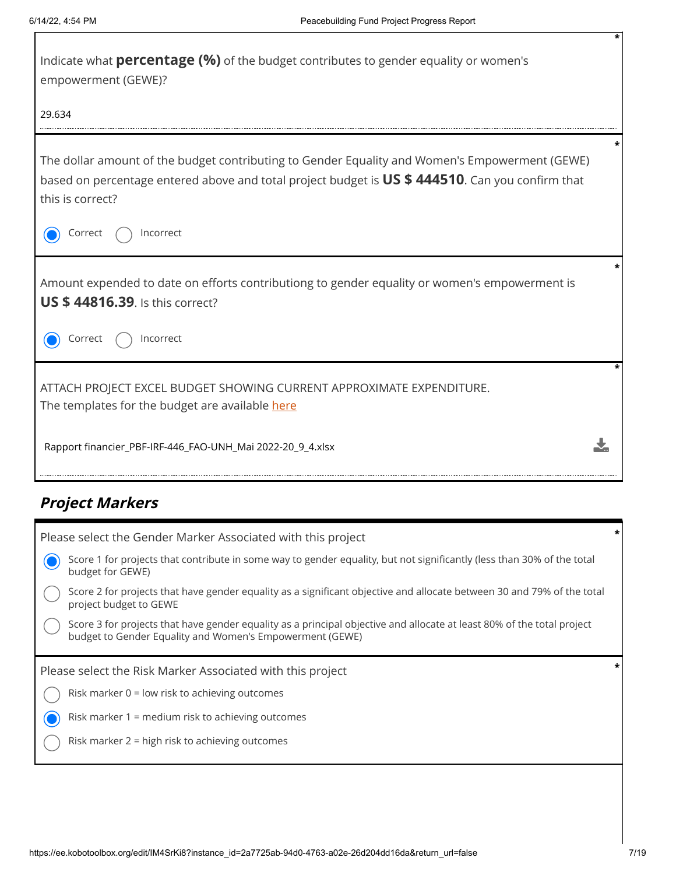| Indicate what <b>percentage (%)</b> of the budget contributes to gender equality or women's<br>empowerment (GEWE)?                                                                                                     |  |
|------------------------------------------------------------------------------------------------------------------------------------------------------------------------------------------------------------------------|--|
| 29.634                                                                                                                                                                                                                 |  |
| The dollar amount of the budget contributing to Gender Equality and Women's Empowerment (GEWE)<br>based on percentage entered above and total project budget is US \$ 444510. Can you confirm that<br>this is correct? |  |
| Correct<br>Incorrect                                                                                                                                                                                                   |  |
| Amount expended to date on efforts contributiong to gender equality or women's empowerment is<br><b>US \$44816.39.</b> Is this correct?                                                                                |  |
| Incorrect<br>Correct                                                                                                                                                                                                   |  |
| ATTACH PROJECT EXCEL BUDGET SHOWING CURRENT APPROXIMATE EXPENDITURE.<br>The templates for the budget are available here                                                                                                |  |
| Rapport financier_PBF-IRF-446_FAO-UNH_Mai 2022-20_9_4.xlsx                                                                                                                                                             |  |

# **Project Markers**

| Please select the Gender Marker Associated with this project                                                                                                                       |  |
|------------------------------------------------------------------------------------------------------------------------------------------------------------------------------------|--|
| Score 1 for projects that contribute in some way to gender equality, but not significantly (less than 30% of the total<br>budget for GEWE)                                         |  |
| Score 2 for projects that have gender equality as a significant objective and allocate between 30 and 79% of the total<br>project budget to GEWE                                   |  |
| Score 3 for projects that have gender equality as a principal objective and allocate at least 80% of the total project<br>budget to Gender Equality and Women's Empowerment (GEWE) |  |
|                                                                                                                                                                                    |  |
| Please select the Risk Marker Associated with this project                                                                                                                         |  |
| Risk marker $0 =$ low risk to achieving outcomes                                                                                                                                   |  |
| Risk marker 1 = medium risk to achieving outcomes                                                                                                                                  |  |
| Risk marker 2 = high risk to achieving outcomes                                                                                                                                    |  |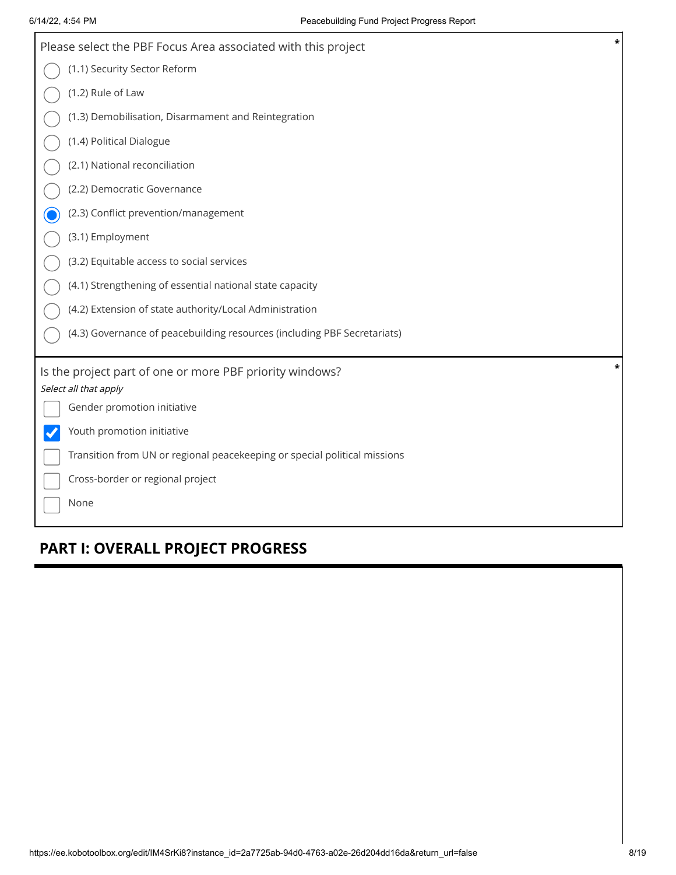| $\star$<br>Please select the PBF Focus Area associated with this project  |
|---------------------------------------------------------------------------|
| (1.1) Security Sector Reform                                              |
| (1.2) Rule of Law                                                         |
| (1.3) Demobilisation, Disarmament and Reintegration                       |
| (1.4) Political Dialogue                                                  |
| (2.1) National reconciliation                                             |
| (2.2) Democratic Governance                                               |
| (2.3) Conflict prevention/management                                      |
| (3.1) Employment                                                          |
| (3.2) Equitable access to social services                                 |
| (4.1) Strengthening of essential national state capacity                  |
| (4.2) Extension of state authority/Local Administration                   |
| (4.3) Governance of peacebuilding resources (including PBF Secretariats)  |
| *<br>Is the project part of one or more PBF priority windows?             |
| Select all that apply                                                     |
| Gender promotion initiative                                               |
| Youth promotion initiative                                                |
| Transition from UN or regional peacekeeping or special political missions |
| Cross-border or regional project                                          |
| None                                                                      |

# **PART I: OVERALL PROJECT PROGRESS**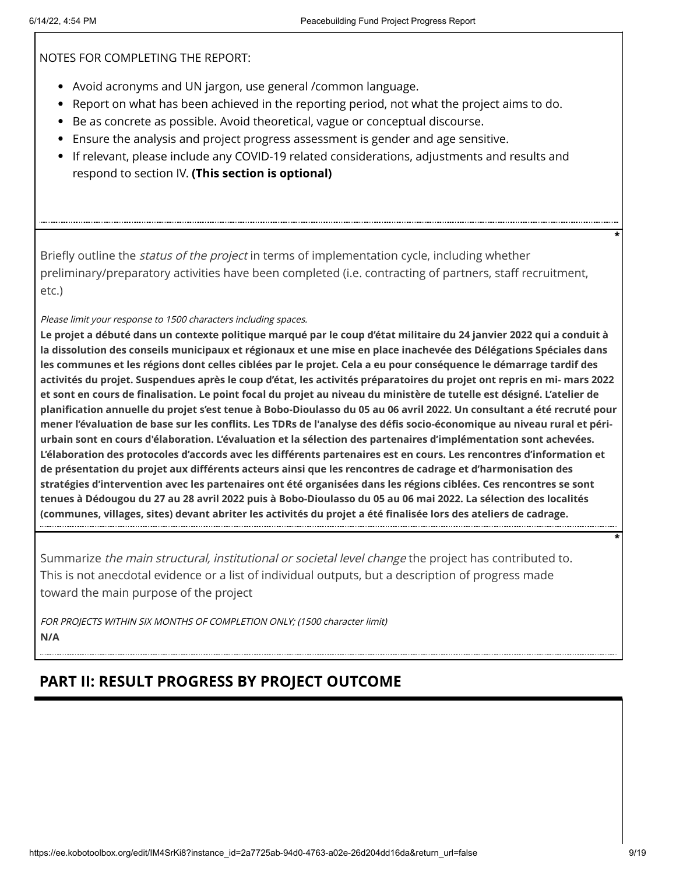NOTES FOR COMPLETING THE REPORT:

- Avoid acronyms and UN jargon, use general /common language.
- Report on what has been achieved in the reporting period, not what the project aims to do.
- **Be as concrete as possible. Avoid theoretical, vague or conceptual discourse.**
- Ensure the analysis and project progress assessment is gender and age sensitive.
- If relevant, please include any COVID-19 related considerations, adjustments and results and respond to section IV. **(This section is optional)**

Briefly outline the *status of the project* in terms of implementation cycle, including whether preliminary/preparatory activities have been completed (i.e. contracting of partners, staff recruitment, etc.)

Please limit your response to 1500 characters including spaces.

**Le projet a débuté dans un contexte politique marqué par le coup d'état militaire du 24 janvier 2022 qui a conduit à la dissolution des conseils municipaux et régionaux et une mise en place inachevée des Délégations Spéciales dans les communes et les régions dont celles ciblées par le projet. Cela a eu pour conséquence le démarrage tardif des activités du projet. Suspendues après le coup d'état, les activités préparatoires du projet ont repris en mi- mars 2022 et sont en cours de finalisation. Le point focal du projet au niveau du ministère de tutelle est désigné. L'atelier de planification annuelle du projet s'est tenue à Bobo-Dioulasso du 05 au 06 avril 2022. Un consultant a été recruté pour mener l'évaluation de base sur les conflits. Les TDRs de l'analyse des défis socio-économique au niveau rural et périurbain sont en cours d'élaboration. L'évaluation et la sélection des partenaires d'implémentation sont achevées. L'élaboration des protocoles d'accords avec les différents partenaires est en cours. Les rencontres d'information et de présentation du projet aux différents acteurs ainsi que les rencontres de cadrage et d'harmonisation des stratégies d'intervention avec les partenaires ont été organisées dans les régions ciblées. Ces rencontres se sont tenues à Dédougou du 27 au 28 avril 2022 puis à Bobo-Dioulasso du 05 au 06 mai 2022. La sélection des localités (communes, villages, sites) devant abriter les activités du projet a été finalisée lors des ateliers de cadrage.**

Summarize the main structural, institutional or societal level change the project has contributed to. This is not anecdotal evidence or a list of individual outputs, but a description of progress made toward the main purpose of the project

FOR PROJECTS WITHIN SIX MONTHS OF COMPLETION ONLY; (1500 character limit) **N/A**

## **PART II: RESULT PROGRESS BY PROJECT OUTCOME**

**\***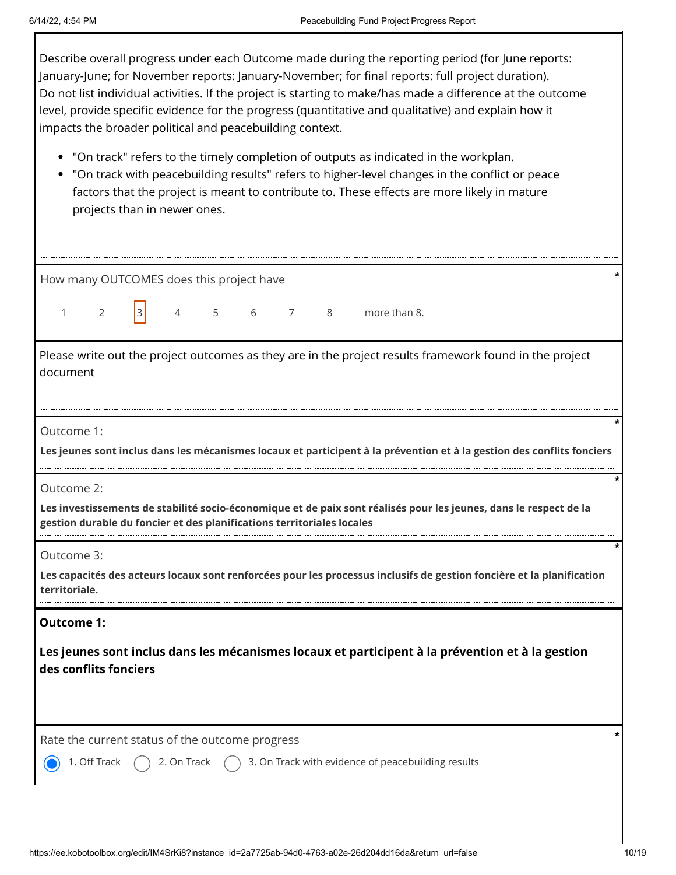Describe overall progress under each Outcome made during the reporting period (for June reports: January-June; for November reports: January-November; for final reports: full project duration). Do not list individual activities. If the project is starting to make/has made a difference at the outcome level, provide specific evidence for the progress (quantitative and qualitative) and explain how it impacts the broader political and peacebuilding context.

- "On track" refers to the timely completion of outputs as indicated in the workplan.
- "On track with peacebuilding results" refers to higher-level changes in the conflict or peace factors that the project is meant to contribute to. These effects are more likely in mature projects than in newer ones.

| How many OUTCOMES does this project have                                                                                                                                                                  |                                                                                                                     |   |                |             |  |     |   |              |                                                                                                                        |  |
|-----------------------------------------------------------------------------------------------------------------------------------------------------------------------------------------------------------|---------------------------------------------------------------------------------------------------------------------|---|----------------|-------------|--|-----|---|--------------|------------------------------------------------------------------------------------------------------------------------|--|
| $\mathbf{1}$                                                                                                                                                                                              | $\overline{2}$                                                                                                      | 3 | $\overline{4}$ | $5^{\circ}$ |  | 6 7 | 8 | more than 8. |                                                                                                                        |  |
|                                                                                                                                                                                                           | Please write out the project outcomes as they are in the project results framework found in the project<br>document |   |                |             |  |     |   |              |                                                                                                                        |  |
| Outcome 1:                                                                                                                                                                                                |                                                                                                                     |   |                |             |  |     |   |              | Les jeunes sont inclus dans les mécanismes locaux et participent à la prévention et à la gestion des conflits fonciers |  |
| Outcome 2:<br>Les investissements de stabilité socio-économique et de paix sont réalisés pour les jeunes, dans le respect de la<br>gestion durable du foncier et des planifications territoriales locales |                                                                                                                     |   |                |             |  |     |   |              |                                                                                                                        |  |
| Outcome 3:<br>Les capacités des acteurs locaux sont renforcées pour les processus inclusifs de gestion foncière et la planification<br>territoriale.                                                      |                                                                                                                     |   |                |             |  |     |   |              |                                                                                                                        |  |
| <b>Outcome 1:</b>                                                                                                                                                                                         |                                                                                                                     |   |                |             |  |     |   |              |                                                                                                                        |  |
| Les jeunes sont inclus dans les mécanismes locaux et participent à la prévention et à la gestion<br>des conflits fonciers                                                                                 |                                                                                                                     |   |                |             |  |     |   |              |                                                                                                                        |  |
| Rate the current status of the outcome progress<br>3. On Track with evidence of peacebuilding results<br>2. On Track<br>1. Off Track                                                                      |                                                                                                                     |   |                |             |  |     |   |              |                                                                                                                        |  |
|                                                                                                                                                                                                           |                                                                                                                     |   |                |             |  |     |   |              |                                                                                                                        |  |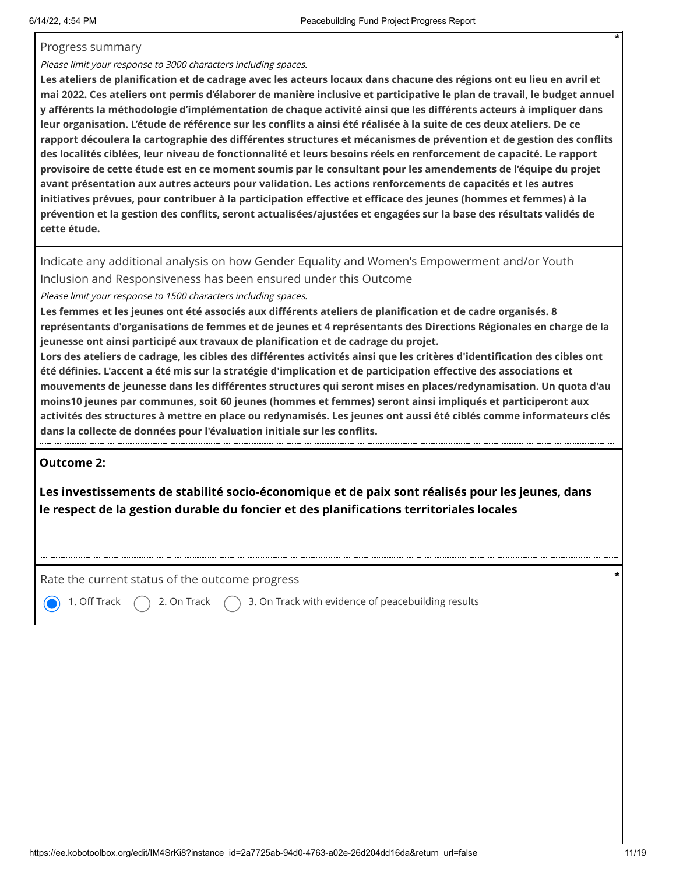#### Progress summary

Please limit your response to 3000 characters including spaces.

**Les ateliers de planification et de cadrage avec les acteurs locaux dans chacune des régions ont eu lieu en avril et mai 2022. Ces ateliers ont permis d'élaborer de manière inclusive et participative le plan de travail, le budget annuel y afférents la méthodologie d'implémentation de chaque activité ainsi que les différents acteurs à impliquer dans leur organisation. L'étude de référence sur les conflits a ainsi été réalisée à la suite de ces deux ateliers. De ce rapport découlera la cartographie des différentes structures et mécanismes de prévention et de gestion des conflits des localités ciblées, leur niveau de fonctionnalité et leurs besoins réels en renforcement de capacité. Le rapport provisoire de cette étude est en ce moment soumis par le consultant pour les amendements de l'équipe du projet avant présentation aux autres acteurs pour validation. Les actions renforcements de capacités et les autres initiatives prévues, pour contribuer à la participation effective et efficace des jeunes (hommes et femmes) à la prévention et la gestion des conflits, seront actualisées/ajustées et engagées sur la base des résultats validés de cette étude.**

Indicate any additional analysis on how Gender Equality and Women's Empowerment and/or Youth Inclusion and Responsiveness has been ensured under this Outcome

Please limit your response to 1500 characters including spaces.

**Les femmes et les jeunes ont été associés aux différents ateliers de planification et de cadre organisés. 8 représentants d'organisations de femmes et de jeunes et 4 représentants des Directions Régionales en charge de la jeunesse ont ainsi participé aux travaux de planification et de cadrage du projet.** 

**Lors des ateliers de cadrage, les cibles des différentes activités ainsi que les critères d'identification des cibles ont été définies. L'accent a été mis sur la stratégie d'implication et de participation effective des associations et mouvements de jeunesse dans les différentes structures qui seront mises en places/redynamisation. Un quota d'au moins10 jeunes par communes, soit 60 jeunes (hommes et femmes) seront ainsi impliqués et participeront aux activités des structures à mettre en place ou redynamisés. Les jeunes ont aussi été ciblés comme informateurs clés dans la collecte de données pour l'évaluation initiale sur les conflits.**

#### **Outcome 2:**

**Les investissements de stabilité socio-économique et de paix sont réalisés pour les jeunes, dans le respect de la gestion durable du foncier et des planifications territoriales locales**

Rate the current status of the outcome progress **\***

1. Off Track  $\bigcap$  2. On Track  $\bigcap$  3. On Track with evidence of peacebuilding results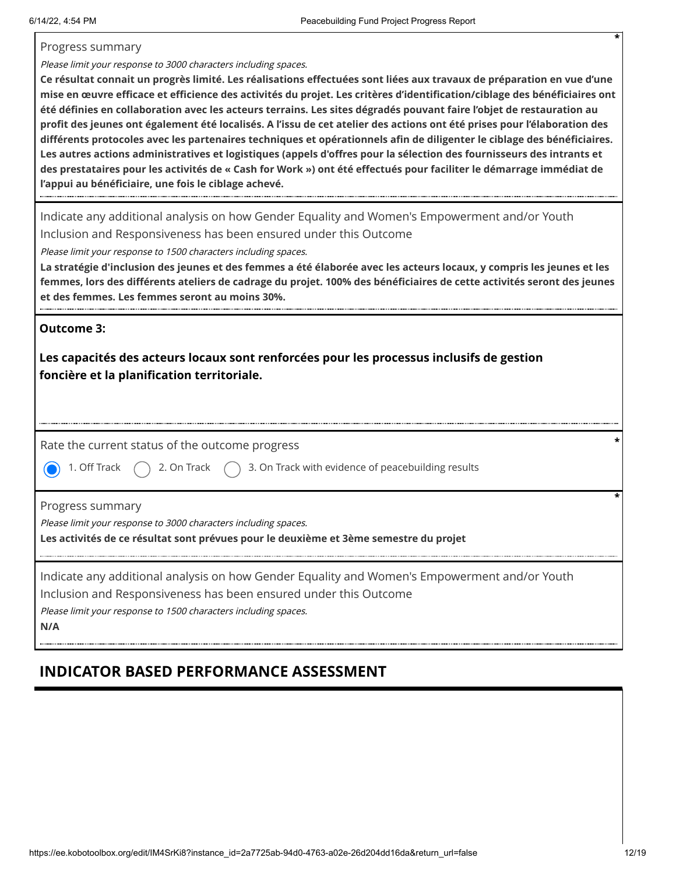Progress summary

Please limit your response to 3000 characters including spaces.

**Ce résultat connait un progrès limité. Les réalisations effectuées sont liées aux travaux de préparation en vue d'une mise en œuvre efficace et efficience des activités du projet. Les critères d'identification/ciblage des bénéficiaires ont été définies en collaboration avec les acteurs terrains. Les sites dégradés pouvant faire l'objet de restauration au profit des jeunes ont également été localisés. A l'issu de cet atelier des actions ont été prises pour l'élaboration des différents protocoles avec les partenaires techniques et opérationnels afin de diligenter le ciblage des bénéficiaires. Les autres actions administratives et logistiques (appels d'offres pour la sélection des fournisseurs des intrants et des prestataires pour les activités de « Cash for Work ») ont été effectués pour faciliter le démarrage immédiat de l'appui au bénéficiaire, une fois le ciblage achevé.**

Indicate any additional analysis on how Gender Equality and Women's Empowerment and/or Youth Inclusion and Responsiveness has been ensured under this Outcome

Please limit your response to 1500 characters including spaces.

**La stratégie d'inclusion des jeunes et des femmes a été élaborée avec les acteurs locaux, y compris les jeunes et les femmes, lors des différents ateliers de cadrage du projet. 100% des bénéficiaires de cette activités seront des jeunes et des femmes. Les femmes seront au moins 30%.**

**Outcome 3:**

**Les capacités des acteurs locaux sont renforcées pour les processus inclusifs de gestion foncière et la planification territoriale.**

Rate the current status of the outcome progress **\***

1. Off Track  $( )$  2. On Track  $( )$  3. On Track with evidence of peacebuilding results

Progress summary

Please limit your response to 3000 characters including spaces.

**Les activités de ce résultat sont prévues pour le deuxième et 3ème semestre du projet**

Indicate any additional analysis on how Gender Equality and Women's Empowerment and/or Youth Inclusion and Responsiveness has been ensured under this Outcome Please limit your response to 1500 characters including spaces. **N/A**

### **INDICATOR BASED PERFORMANCE ASSESSMENT**

**\***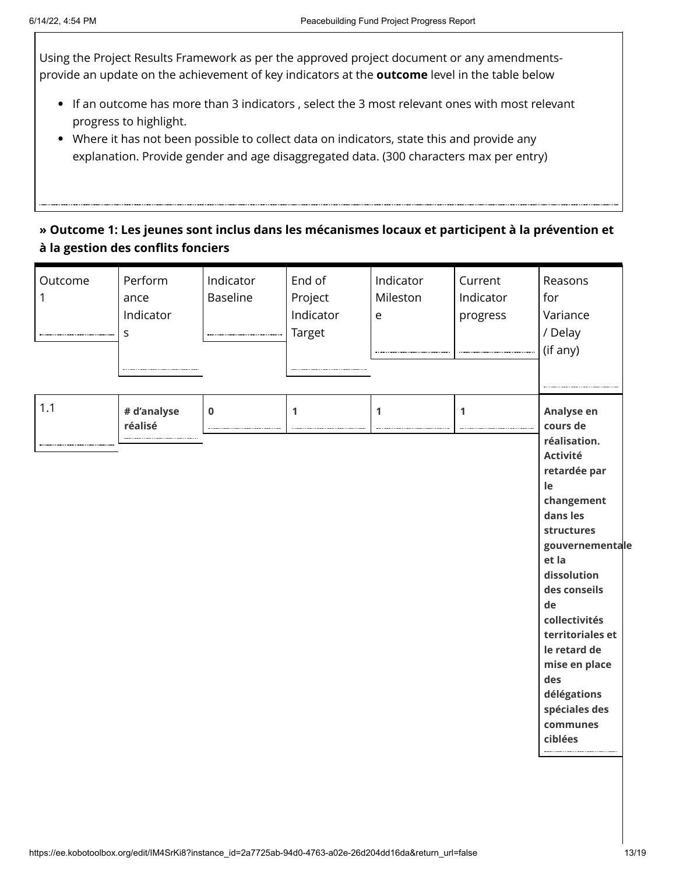Using the Project Results Framework as per the approved project document or any amendmentsprovide an update on the achievement of key indicators at the **outcome** level in the table below

- If an outcome has more than 3 indicators , select the 3 most relevant ones with most relevant progress to highlight.
- Where it has not been possible to collect data on indicators, state this and provide any explanation. Provide gender and age disaggregated data. (300 characters max per entry)

### **» Outcome 1: Les jeunes sont inclus dans les mécanismes locaux et participent à la prévention et à la gestion des conflits fonciers**

| Outcome<br>1<br> | Perform<br>ance<br>Indicator<br>S | Indicator<br><b>Baseline</b> | End of<br>Project<br>Indicator<br>Target | Indicator<br>Mileston<br>e | Current<br>Indicator<br>progress | Reasons<br>for<br>Variance<br>/ Delay<br>(if any)                                                                                                                                                                                                                                                                            |
|------------------|-----------------------------------|------------------------------|------------------------------------------|----------------------------|----------------------------------|------------------------------------------------------------------------------------------------------------------------------------------------------------------------------------------------------------------------------------------------------------------------------------------------------------------------------|
| 1.1              | # d'analyse<br>réalisé            | $\bf{0}$                     | 1                                        | 1                          | 1                                | Analyse en<br>cours de<br>réalisation.<br><b>Activité</b><br>retardée par<br>le<br>changement<br>dans les<br>structures<br>gouvernementale<br>et la<br>dissolution<br>des conseils<br>de<br>collectivités<br>territoriales et<br>le retard de<br>mise en place<br>des<br>délégations<br>spéciales des<br>communes<br>ciblées |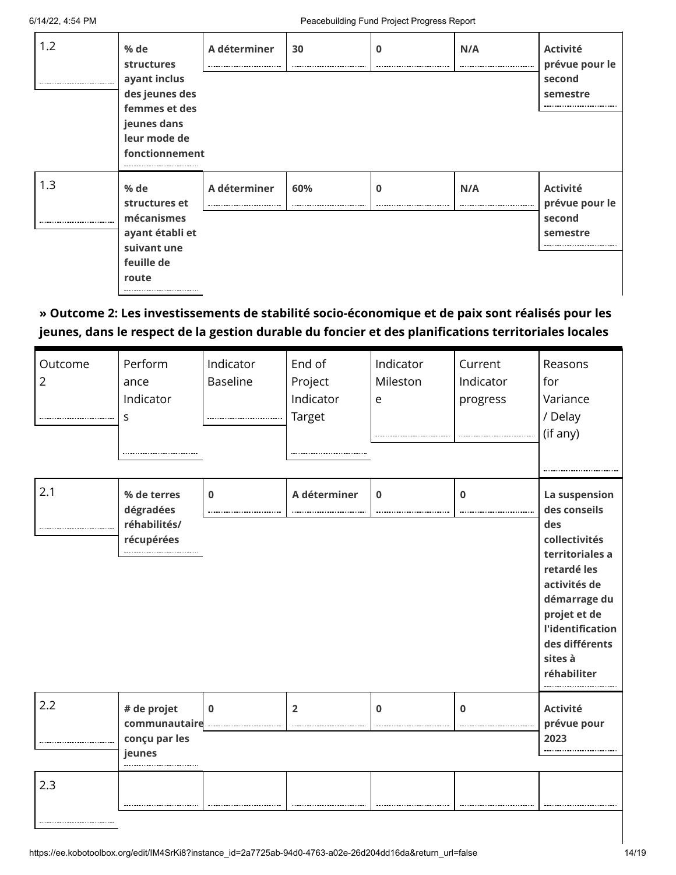| 1.2 | % de<br><b>structures</b><br>ayant inclus<br>des jeunes des<br>femmes et des                 | A déterminer | 30  | 0 | N/A | <b>Activité</b><br>prévue pour le<br>second<br>semestre |
|-----|----------------------------------------------------------------------------------------------|--------------|-----|---|-----|---------------------------------------------------------|
|     | jeunes dans<br>leur mode de<br>fonctionnement                                                |              |     |   |     |                                                         |
| 1.3 | % de<br>structures et<br>mécanismes<br>ayant établi et<br>suivant une<br>feuille de<br>route | A déterminer | 60% | 0 | N/A | <b>Activité</b><br>prévue pour le<br>second<br>semestre |

### **» Outcome 2: Les investissements de stabilité socio-économique et de paix sont réalisés pour les jeunes, dans le respect de la gestion durable du foncier et des planifications territoriales locales**

| Outcome<br>2 | Perform<br>ance<br>Indicator<br>S                       | Indicator<br><b>Baseline</b> | End of<br>Project<br>Indicator<br>Target | Indicator<br>Mileston<br>e | Current<br>Indicator<br>progress | Reasons<br>for<br>Variance<br>/ Delay<br>(if any)                                                                                                                                                       |
|--------------|---------------------------------------------------------|------------------------------|------------------------------------------|----------------------------|----------------------------------|---------------------------------------------------------------------------------------------------------------------------------------------------------------------------------------------------------|
| 2.1          | % de terres<br>dégradées<br>réhabilités/<br>récupérées  | $\bf{0}$                     | A déterminer                             | $\bf{0}$                   | $\mathbf 0$                      | La suspension<br>des conseils<br>des<br>collectivités<br>territoriales a<br>retardé les<br>activités de<br>démarrage du<br>projet et de<br>l'identification<br>des différents<br>sites à<br>réhabiliter |
| 2.2          | # de projet<br>communautaire<br>conçu par les<br>jeunes | $\bf{0}$                     | $\overline{2}$                           | $\bf{0}$                   | $\bf{0}$                         | <b>Activité</b><br>prévue pour<br>2023                                                                                                                                                                  |
| 2.3          |                                                         |                              |                                          |                            |                                  |                                                                                                                                                                                                         |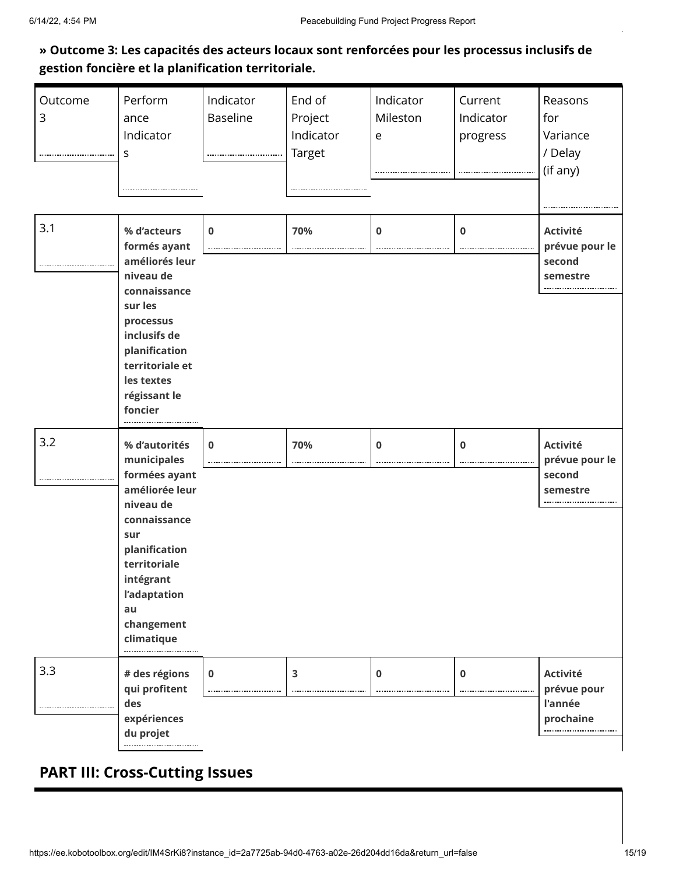### **» Outcome 3: Les capacités des acteurs locaux sont renforcées pour les processus inclusifs de gestion foncière et la planification territoriale.**

| Outcome<br>3 | Perform<br>ance<br>Indicator<br>S                                                                                                                                                                   | Indicator<br><b>Baseline</b> | End of<br>Project<br>Indicator<br><b>Target</b> | Indicator<br>Mileston<br>e | Current<br>Indicator<br>progress | Reasons<br>for<br>Variance<br>/ Delay<br>(if any)       |
|--------------|-----------------------------------------------------------------------------------------------------------------------------------------------------------------------------------------------------|------------------------------|-------------------------------------------------|----------------------------|----------------------------------|---------------------------------------------------------|
| 3.1          | % d'acteurs<br>formés ayant<br>améliorés leur<br>niveau de<br>connaissance<br>sur les<br>processus<br>inclusifs de<br>planification<br>territoriale et<br>les textes<br>régissant le<br>foncier     | $\bf{0}$                     | 70%                                             | 0                          | $\mathbf 0$                      | <b>Activité</b><br>prévue pour le<br>second<br>semestre |
| 3.2          | % d'autorités<br>municipales<br>formées ayant<br>améliorée leur<br>niveau de<br>connaissance<br>sur<br>planification<br>territoriale<br>intégrant<br>l'adaptation<br>au<br>changement<br>climatique | $\mathbf 0$                  | 70%                                             | 0                          | $\mathbf 0$                      | <b>Activité</b><br>prévue pour le<br>second<br>semestre |
| 3.3          | # des régions<br>qui profitent<br>des<br>expériences<br>du projet                                                                                                                                   | $\mathbf 0$                  | 3                                               | $\bf{0}$                   | $\mathbf 0$                      | <b>Activité</b><br>prévue pour<br>l'année<br>prochaine  |

# **PART III: Cross-Cutting Issues**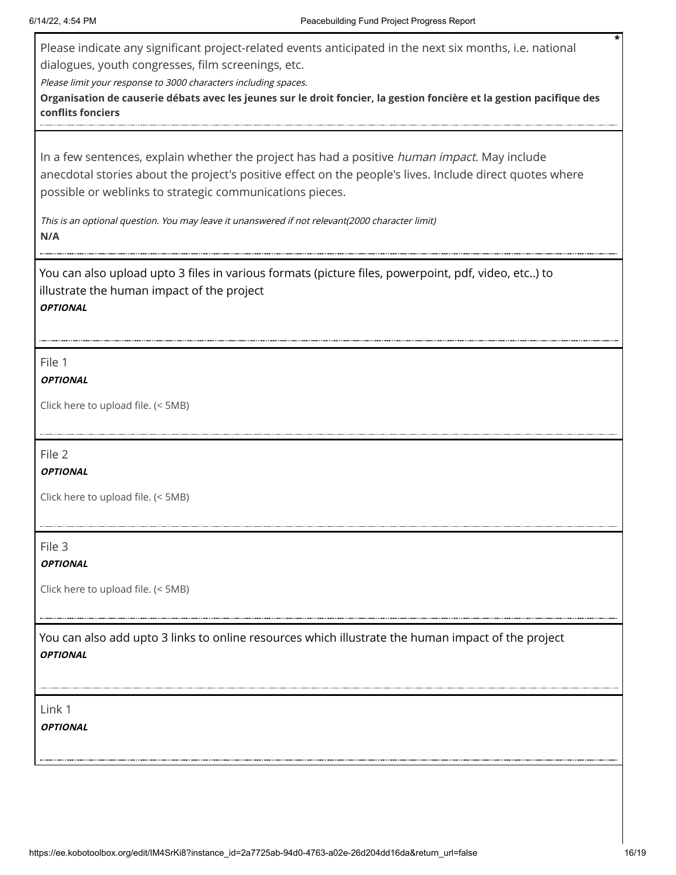Please indicate any significant project-related events anticipated in the next six months, i.e. national dialogues, youth congresses, film screenings, etc.

Please limit your response to 3000 characters including spaces.

**Organisation de causerie débats avec les jeunes sur le droit foncier, la gestion foncière et la gestion pacifique des conflits fonciers**

In a few sentences, explain whether the project has had a positive human impact. May include anecdotal stories about the project's positive effect on the people's lives. Include direct quotes where possible or weblinks to strategic communications pieces.

This is an optional question. You may leave it unanswered if not relevant(2000 character limit) **N/A**

You can also upload upto 3 files in various formats (picture files, powerpoint, pdf, video, etc..) to illustrate the human impact of the project **OPTIONAL**

File 1

#### **OPTIONAL**

Click here to upload file. (< 5MB)

File 2

#### **OPTIONAL**

Click here to upload file. (< 5MB)

File 3

**OPTIONAL**

Click here to upload file. (< 5MB)

You can also add upto 3 links to online resources which illustrate the human impact of the project **OPTIONAL**

Link 1

**OPTIONAL**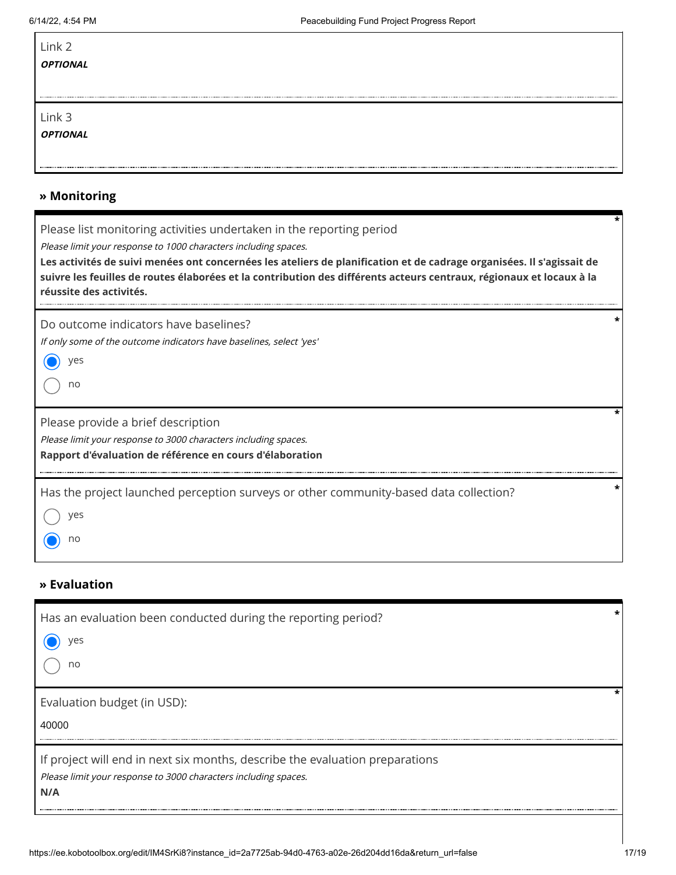$\mathbf{r}$ 

| Link 2          |
|-----------------|
| <b>OPTIONAL</b> |
|                 |
|                 |
| Link 3          |
| <b>OPTIONAL</b> |
|                 |
|                 |

## **» Monitoring**

| Please list monitoring activities undertaken in the reporting period<br>Please limit your response to 1000 characters including spaces.<br>Les activités de suivi menées ont concernées les ateliers de planification et de cadrage organisées. Il s'agissait de<br>suivre les feuilles de routes élaborées et la contribution des différents acteurs centraux, régionaux et locaux à la<br>réussite des activités. |  |
|---------------------------------------------------------------------------------------------------------------------------------------------------------------------------------------------------------------------------------------------------------------------------------------------------------------------------------------------------------------------------------------------------------------------|--|
| Do outcome indicators have baselines?<br>If only some of the outcome indicators have baselines, select 'yes'<br>ves<br>no                                                                                                                                                                                                                                                                                           |  |
| Please provide a brief description<br>Please limit your response to 3000 characters including spaces.<br>Rapport d'évaluation de référence en cours d'élaboration                                                                                                                                                                                                                                                   |  |
| Has the project launched perception surveys or other community-based data collection?<br>ves<br>no                                                                                                                                                                                                                                                                                                                  |  |

### **» Evaluation**

| Has an evaluation been conducted during the reporting period?                                                                                          | $\star$ |
|--------------------------------------------------------------------------------------------------------------------------------------------------------|---------|
| ves                                                                                                                                                    |         |
| no                                                                                                                                                     |         |
| Evaluation budget (in USD):                                                                                                                            |         |
| 40000                                                                                                                                                  |         |
| If project will end in next six months, describe the evaluation preparations<br>Please limit your response to 3000 characters including spaces.<br>N/A |         |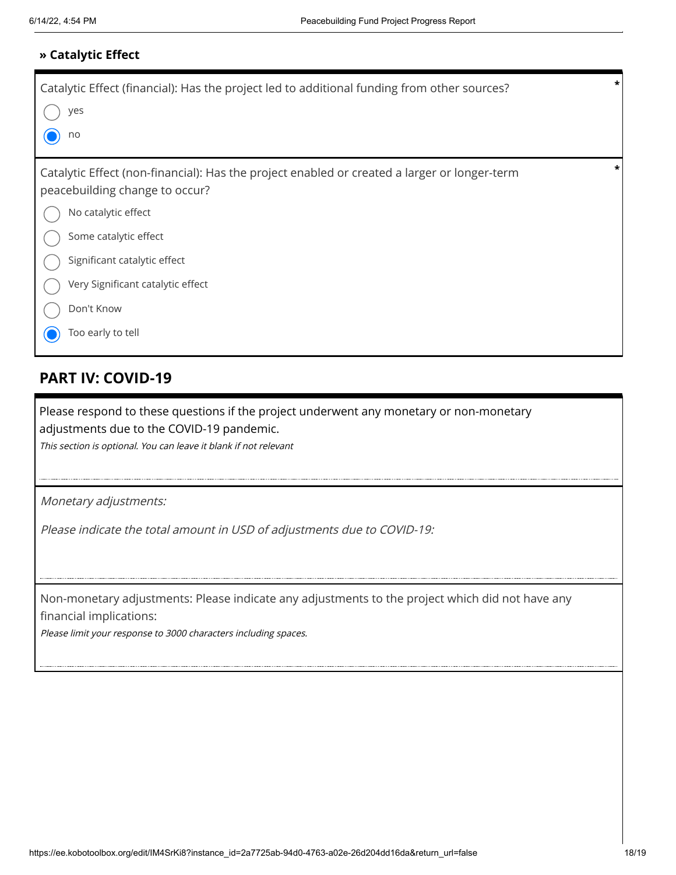### **» Catalytic Effect**

| Catalytic Effect (financial): Has the project led to additional funding from other sources?<br>yes<br>no                                                                                                       | $\star$ |
|----------------------------------------------------------------------------------------------------------------------------------------------------------------------------------------------------------------|---------|
| Catalytic Effect (non-financial): Has the project enabled or created a larger or longer-term<br>peacebuilding change to occur?<br>No catalytic effect<br>Some catalytic effect<br>Significant catalytic effect | *       |
| Very Significant catalytic effect<br>Don't Know                                                                                                                                                                |         |
| Too early to tell                                                                                                                                                                                              |         |

## **PART IV: COVID-19**

Please respond to these questions if the project underwent any monetary or non-monetary adjustments due to the COVID-19 pandemic.

This section is optional. You can leave it blank if not relevant

Monetary adjustments:

Please indicate the total amount in USD of adjustments due to COVID-19:

Non-monetary adjustments: Please indicate any adjustments to the project which did not have any financial implications:

Please limit your response to 3000 characters including spaces.